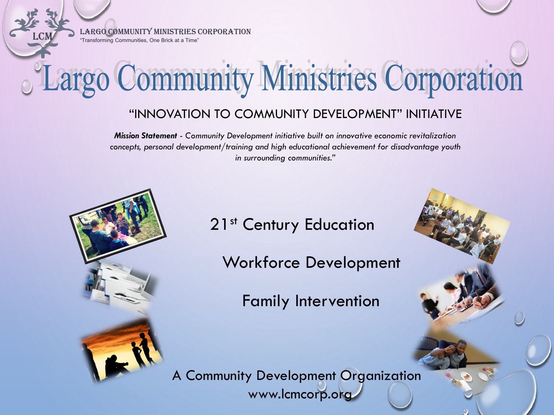LCM Largo Community Ministries Corporation "Transforming Communities, One Brick at a Time"

# Largo Community Ministries Corporation

## "INNOVATION TO COMMUNITY DEVELOPMENT" INITIATIVE

*Mission Statement - Community Development initiative built on innovative economic revitalization concepts, personal development/training and high educational achievement for disadvantage youth in surrounding communities."*



21<sup>st</sup> Century Education

Workforce Development

Family Intervention

1

A Community Development Organization www.lcmcorp.org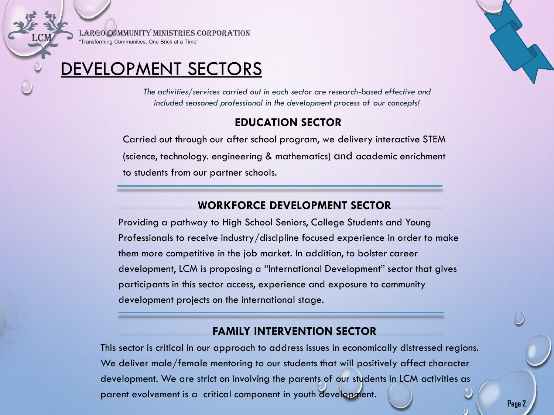LCM Largo Community Ministries Corporation "Transforming Communities, One Brick at a Time"

## DEVELOPMENT SECTORS

*The activities/services carried out in each sector are research-based effective and included seasoned professional in the development process of our concepts!*

#### **EDUCATION SECTOR**

Carried out through our after school program, we delivery interactive STEM (science, technology. engineering & mathematics) and academic enrichment to students from our partner schools.

#### **WORKFORCE DEVELOPMENT SECTOR**

Providing a pathway to High School Seniors, College Students and Young Professionals to receive industry/discipline focused experience in order to make them more competitive in the job market. In addition, to bolster career development, LCM is proposing a "International Development" sector that gives participants in this sector access, experience and exposure to community development projects on the international stage.

#### **FAMILY INTERVENTION SECTOR**

This sector is critical in our approach to address issues in economically distressed regions. We deliver male/female mentoring to our students that will positively affect character development. We are strict on involving the parents of our students in LCM activities as parent evolvement is a critical component in youth development.

**Page 2**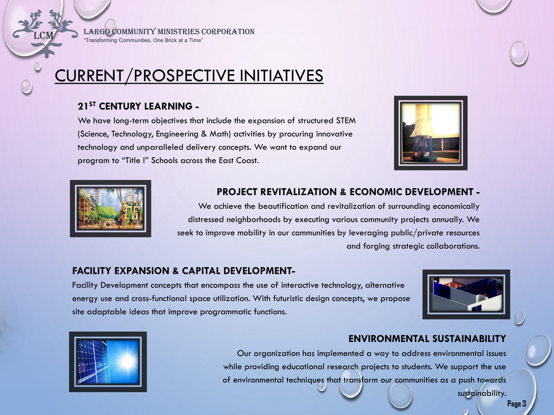LARGO COMMUNITY MINISTRIES CORPORATION

"Transforming Communities, One Brick at a Time"

# CURRENT/PROSPECTIVE INITIATIVES

#### **21ST CENTURY LEARNING -**

We have long-term objectives that include the expansion of structured STEM (Science, Technology, Engineering & Math) activities by procuring innovative technology and unparalleled delivery concepts. We want to expand our program to "Title I" Schools across the East Coast.



**ENVIRONMENTAL SUSTAINABILITY** 



#### **PROJECT REVITALIZATION & ECONOMIC DEVELOPMENT -**

We achieve the beautification and revitalization of surrounding economically distressed neighborhoods by executing various community projects annually. We seek to improve mobility in our communities by leveraging public/private resources and forging strategic collaborations.

#### **FACILITY EXPANSION & CAPITAL DEVELOPMENT-**

Facility Development concepts that encompass the use of interactive technology, alternative energy use and cross-functional space utilization. With futuristic design concepts, we propose site adaptable ideas that improve programmatic functions.





## Our organization has implemented a way to address environmental issues while providing educational research projects to students. We support the use of environmental techniques that transform our communities as a push towards

sustainability.